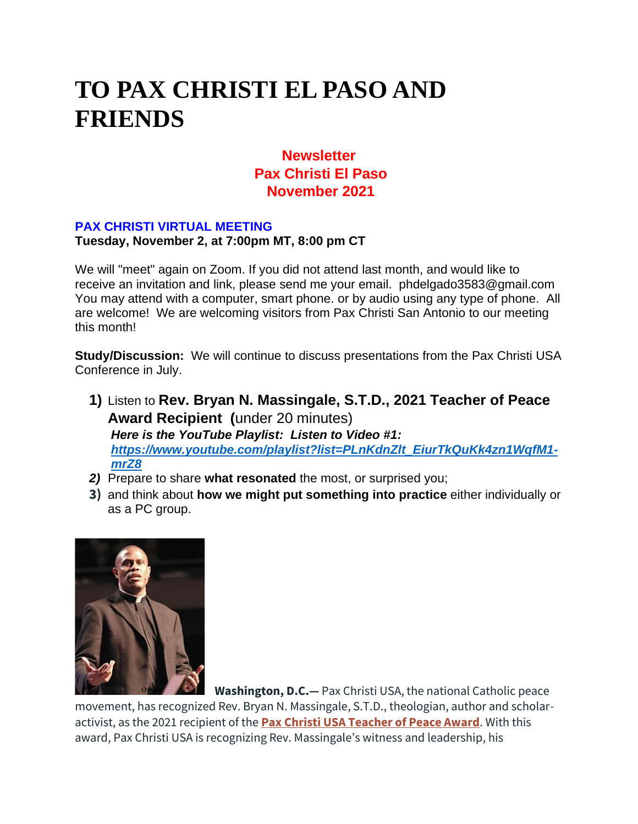# **TO PAX CHRISTI EL PASO AND FRIENDS**

# **Newsletter Pax Christi El Paso November 2021**

#### **PAX CHRISTI VIRTUAL MEETING**

#### **Tuesday, November 2, at 7:00pm MT, 8:00 pm CT**

We will "meet" again on Zoom. If you did not attend last month, and would like to receive an invitation and link, please send me your email. phdelgado3583@gmail.com You may attend with a computer, smart phone. or by audio using any type of phone. All are welcome! We are welcoming visitors from Pax Christi San Antonio to our meeting this month!

**Study/Discussion:** We will continue to discuss presentations from the Pax Christi USA Conference in July.

- **1)** Listen to **Rev. Bryan N. Massingale, S.T.D., 2021 Teacher of Peace Award Recipient (**under 20 minutes) *Here is the YouTube Playlist: Listen to Video #1: [https://www.youtube.com/playlist?list=PLnKdnZlt\\_EiurTkQuKk4zn1WqfM1](https://www.youtube.com/playlist?list=PLnKdnZlt_EiurTkQuKk4zn1WqfM1-mrZ8) [mrZ8](https://www.youtube.com/playlist?list=PLnKdnZlt_EiurTkQuKk4zn1WqfM1-mrZ8)*
- *2)* Prepare to share **what resonated** the most, or surprised you;
- **3)** and think about **how we might put something into practice** either individually or as a PC group.



**Washington, D.C.—** Pax Christi USA, the national Catholic peace

movement, has recognized Rev. Bryan N. Massingale, S.T.D., theologian, author and scholaractivist, as the 2021 recipient of the **[Pax Christi USA Teacher of Peace Award](https://paxchristiusa.org/who-we-are/teachers-of-peace/)**. With this award, Pax Christi USA is recognizing Rev. Massingale's witness and leadership, his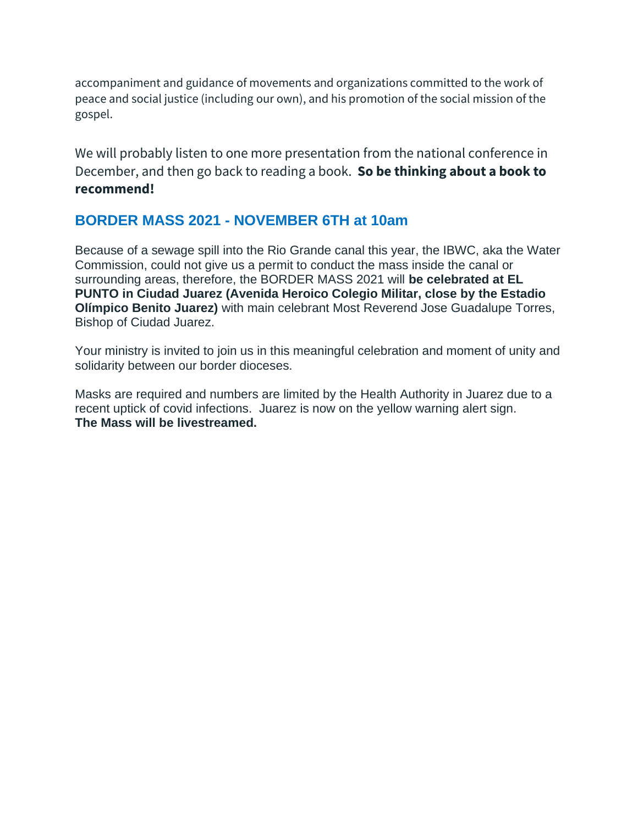accompaniment and guidance of movements and organizations committed to the work of peace and social justice (including our own), and his promotion of the social mission of the gospel.

We will probably listen to one more presentation from the national conference in December, and then go back to reading a book. **So be thinking about a book to recommend!**

## **BORDER MASS 2021 - NOVEMBER 6TH at 10am**

Because of a sewage spill into the Rio Grande canal this year, the IBWC, aka the Water Commission, could not give us a permit to conduct the mass inside the canal or surrounding areas, therefore, the BORDER MASS 2021 will **be celebrated at EL PUNTO in Ciudad Juarez (Avenida Heroico Colegio Militar, close by the Estadio Olímpico Benito Juarez)** with main celebrant Most Reverend Jose Guadalupe Torres, Bishop of Ciudad Juarez.

Your ministry is invited to join us in this meaningful celebration and moment of unity and solidarity between our border dioceses.

Masks are required and numbers are limited by the Health Authority in Juarez due to a recent uptick of covid infections. Juarez is now on the yellow warning alert sign. **The Mass will be livestreamed.**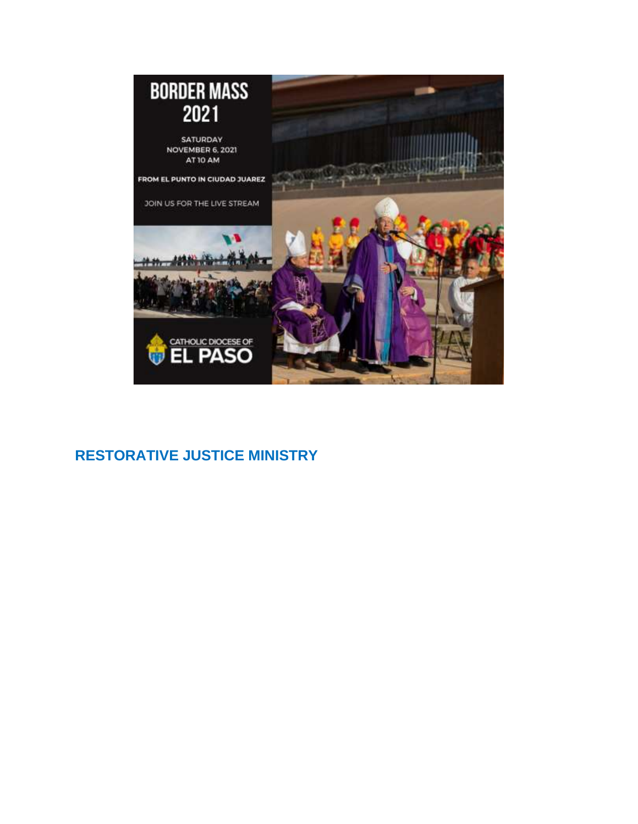

# **RESTORATIVE JUSTICE MINISTRY**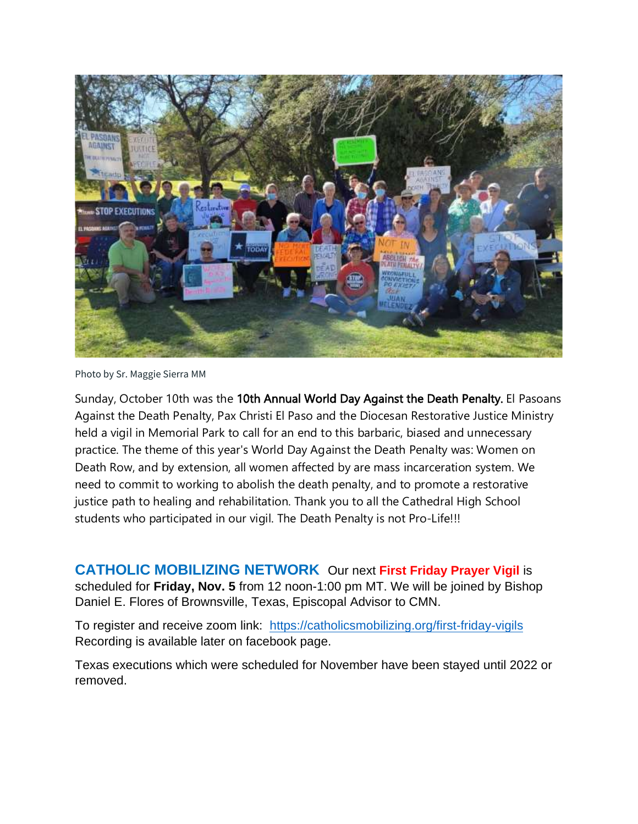

Photo by Sr. Maggie Sierra MM

Sunday, October 10th was the 10th Annual World Day Against the Death Penalty. El Pasoans Against the Death Penalty, Pax Christi El Paso and the Diocesan Restorative Justice Ministry held a vigil in Memorial Park to call for an end to this barbaric, biased and unnecessary practice. The theme of this year's World Day Against the Death Penalty was: Women on Death Row, and by extension, all women affected by are mass incarceration system. We need to commit to working to abolish the death penalty, and to promote a restorative justice path to healing and rehabilitation. Thank you to all the Cathedral High School students who participated in our vigil. The Death Penalty is not Pro-Life!!!

**CATHOLIC MOBILIZING NETWORK** Our next **First Friday Prayer Vigil** is

scheduled for **Friday, Nov. 5** from 12 noon-1:00 pm MT. We will be joined by Bishop Daniel E. Flores of Brownsville, Texas, Episcopal Advisor to CMN.

To register and receive zoom link: <https://catholicsmobilizing.org/first-friday-vigils> Recording is available later on facebook page.

Texas executions which were scheduled for November have been stayed until 2022 or removed.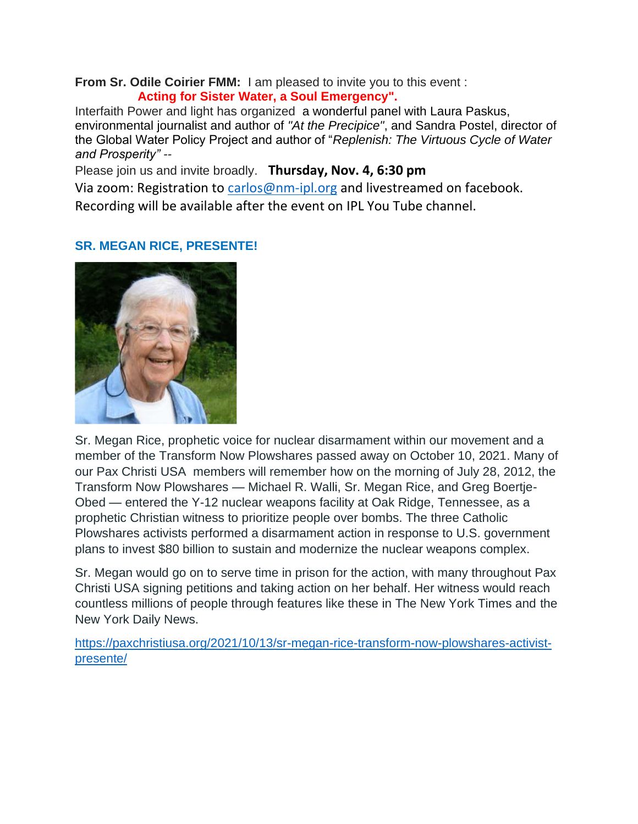**From Sr. Odile Coirier FMM:** I am pleased to invite you to this event :  **Acting for Sister Water, a Soul Emergency".**

Interfaith Power and light has organized a wonderful panel with Laura Paskus, environmental journalist and author of *"At the Precipice"*, and Sandra Postel, director of the Global Water Policy Project and author of "*Replenish: The Virtuous Cycle of Water and Prosperity" --*

Please join us and invite broadly. **Thursday, Nov. 4, 6:30 pm**

Via zoom: Registration to [carlos@nm-ipl.org](mailto:carlos@nm-ipl.org) and livestreamed on facebook. Recording will be available after the event on IPL You Tube channel.

## **SR. MEGAN RICE, PRESENTE!**



Sr. Megan Rice, prophetic voice for nuclear disarmament within our movement and a member of the Transform Now Plowshares passed away on October 10, 2021. Many of our Pax Christi USA members will remember how on the morning of July 28, 2012, the Transform Now Plowshares — Michael R. Walli, Sr. Megan Rice, and Greg Boertje-Obed — entered the Y-12 nuclear weapons facility at Oak Ridge, Tennessee, as a prophetic Christian witness to prioritize people over bombs. The three Catholic Plowshares activists performed a disarmament action in response to U.S. government plans to invest \$80 billion to sustain and modernize the nuclear weapons complex.

Sr. Megan would go on to serve time in prison for the action, with many throughout Pax Christi USA signing petitions and taking action on her behalf. Her witness would reach countless millions of people through features like these in The New York Times and the New York Daily News.

[https://paxchristiusa.org/2021/10/13/sr-megan-rice-transform-now-plowshares-activist](https://paxchristiusa.org/2021/10/13/sr-megan-rice-transform-now-plowshares-activist-presente/)[presente/](https://paxchristiusa.org/2021/10/13/sr-megan-rice-transform-now-plowshares-activist-presente/)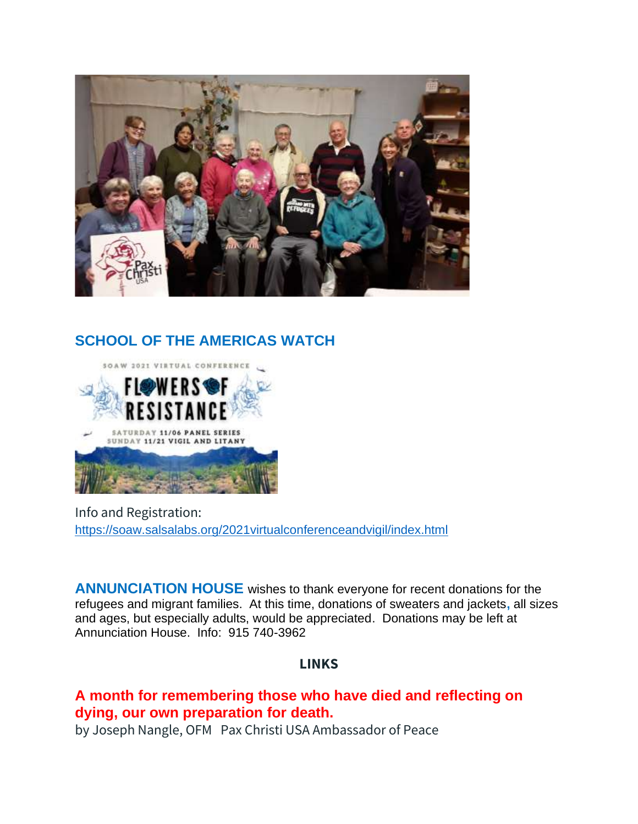

# **SCHOOL OF THE AMERICAS WATCH**



Info and Registration: <https://soaw.salsalabs.org/2021virtualconferenceandvigil/index.html>

**ANNUNCIATION HOUSE** wishes to thank everyone for recent donations for the refugees and migrant families. At this time, donations of sweaters and jackets**,** all sizes and ages, but especially adults, would be appreciated. Donations may be left at Annunciation House. Info: 915 740-3962

### **LINKS**

## **A month for remembering those who have died and reflecting on dying, our own preparation for death.**

by Joseph Nangle, OFM Pax Christi USA Ambassador of Peace